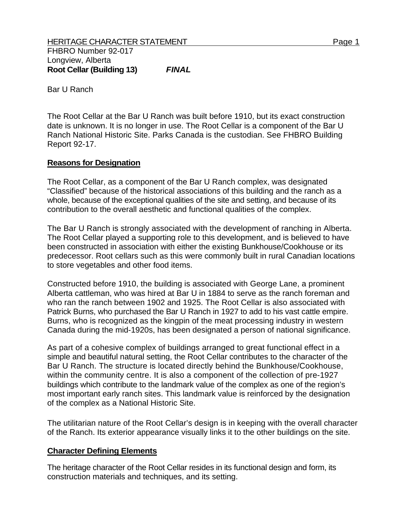Bar U Ranch

The Root Cellar at the Bar U Ranch was built before 1910, but its exact construction date is unknown. It is no longer in use. The Root Cellar is a component of the Bar U Ranch National Historic Site. Parks Canada is the custodian. See FHBRO Building Report 92-17.

## **Reasons for Designation**

The Root Cellar, as a component of the Bar U Ranch complex, was designated "Classified" because of the historical associations of this building and the ranch as a whole, because of the exceptional qualities of the site and setting, and because of its contribution to the overall aesthetic and functional qualities of the complex.

The Bar U Ranch is strongly associated with the development of ranching in Alberta. The Root Cellar played a supporting role to this development, and is believed to have been constructed in association with either the existing Bunkhouse/Cookhouse or its predecessor. Root cellars such as this were commonly built in rural Canadian locations to store vegetables and other food items.

Constructed before 1910, the building is associated with George Lane, a prominent Alberta cattleman, who was hired at Bar U in 1884 to serve as the ranch foreman and who ran the ranch between 1902 and 1925. The Root Cellar is also associated with Patrick Burns, who purchased the Bar U Ranch in 1927 to add to his vast cattle empire. Burns, who is recognized as the kingpin of the meat processing industry in western Canada during the mid-1920s, has been designated a person of national significance.

As part of a cohesive complex of buildings arranged to great functional effect in a simple and beautiful natural setting, the Root Cellar contributes to the character of the Bar U Ranch. The structure is located directly behind the Bunkhouse/Cookhouse, within the community centre. It is also a component of the collection of pre-1927 buildings which contribute to the landmark value of the complex as one of the region's most important early ranch sites. This landmark value is reinforced by the designation of the complex as a National Historic Site.

The utilitarian nature of the Root Cellar's design is in keeping with the overall character of the Ranch. Its exterior appearance visually links it to the other buildings on the site.

## **Character Defining Elements**

The heritage character of the Root Cellar resides in its functional design and form, its construction materials and techniques, and its setting.